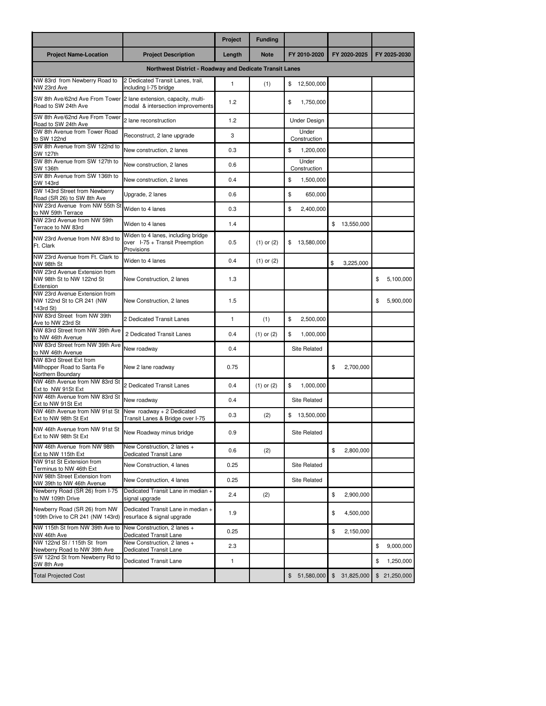|                                                                             |                                                                                    | Project      | <b>Funding</b> |                       |                              |                 |  |  |  |  |
|-----------------------------------------------------------------------------|------------------------------------------------------------------------------------|--------------|----------------|-----------------------|------------------------------|-----------------|--|--|--|--|
| <b>Project Name-Location</b>                                                | <b>Project Description</b>                                                         | Length       | <b>Note</b>    | FY 2010-2020          | FY 2020-2025                 | FY 2025-2030    |  |  |  |  |
| Northwest District - Roadway and Dedicate Transit Lanes                     |                                                                                    |              |                |                       |                              |                 |  |  |  |  |
| NW 83rd from Newberry Road to<br>NW 23rd Ave                                | 2 Dedicated Transit Lanes, trail,<br>including I-75 bridge                         | $\mathbf{1}$ | (1)            | 12.500.000<br>\$      |                              |                 |  |  |  |  |
| SW 8th Ave/62nd Ave From Tower<br>Road to SW 24th Ave                       | 2 lane extension, capacity, multi-<br>modal & intersection improvements            | 1.2          |                | \$<br>1,750,000       |                              |                 |  |  |  |  |
| SW 8th Ave/62nd Ave From Tower<br>Road to SW 24th Ave                       | 2 lane reconstruction                                                              | 1.2          |                | <b>Under Design</b>   |                              |                 |  |  |  |  |
| SW 8th Avenue from Tower Road<br>to SW 122nd                                | Reconstruct, 2 lane upgrade                                                        | 3            |                | Under<br>Construction |                              |                 |  |  |  |  |
| SW 8th Avenue from SW 122nd to<br>SW 127th                                  | New construction, 2 lanes                                                          | 0.3          |                | \$<br>1,200,000       |                              |                 |  |  |  |  |
| SW 8th Avenue from SW 127th to<br><b>SW 136th</b>                           | New construction, 2 lanes                                                          | 0.6          |                | Under<br>Construction |                              |                 |  |  |  |  |
| SW 8th Avenue from SW 136th to<br><b>SW 143rd</b>                           | New construction, 2 lanes                                                          | 0.4          |                | \$<br>1,500,000       |                              |                 |  |  |  |  |
| SW 143rd Street from Newberry<br>Road (SR 26) to SW 8th Ave                 | Upgrade, 2 lanes                                                                   | 0.6          |                | \$<br>650,000         |                              |                 |  |  |  |  |
| NW 23rd Avenue from NW 55th S<br>to NW 59th Terrace                         | Widen to 4 lanes                                                                   | 0.3          |                | \$<br>2,400,000       |                              |                 |  |  |  |  |
| NW 23rd Avenue from NW 59th<br>Terrace to NW 83rd                           | Widen to 4 lanes                                                                   | 1.4          |                |                       | \$13,550,000                 |                 |  |  |  |  |
| NW 23rd Avenue from NW 83rd to<br>Ft. Clark                                 | Widen to 4 lanes, including bridge<br>over I-75 + Transit Preemption<br>Provisions | 0.5          | $(1)$ or $(2)$ | 13,580,000<br>\$      |                              |                 |  |  |  |  |
| NW 23rd Avenue from Ft. Clark to<br>NW 98th St                              | Widen to 4 lanes                                                                   | 0.4          | $(1)$ or $(2)$ |                       | \$<br>3,225,000              |                 |  |  |  |  |
| NW 23rd Avenue Extension from<br>NW 98th St to NW 122nd St<br>Extension     | New Construction, 2 lanes                                                          | 1.3          |                |                       |                              | 5,100,000<br>\$ |  |  |  |  |
| NW 23rd Avenue Extension from<br>NW 122nd St to CR 241 (NW<br>143rd St)     | New Construction, 2 lanes                                                          | 1.5          |                |                       |                              | \$<br>5,900,000 |  |  |  |  |
| NW 83rd Street from NW 39th<br>Ave to NW 23rd St                            | 2 Dedicated Transit Lanes                                                          | $\mathbf{1}$ | (1)            | 2,500,000<br>\$       |                              |                 |  |  |  |  |
| NW 83rd Street from NW 39th Ave<br>to NW 46th Avenue                        | 2 Dedicated Transit Lanes                                                          | 0.4          | $(1)$ or $(2)$ | \$<br>1,000,000       |                              |                 |  |  |  |  |
| NW 83rd Street from NW 39th Ave<br>to NW 46th Avenue                        | New roadway                                                                        | 0.4          |                | Site Related          |                              |                 |  |  |  |  |
| NW 83rd Street Ext from<br>Millhopper Road to Santa Fe<br>Northern Boundary | New 2 lane roadway                                                                 | 0.75         |                |                       | \$<br>2,700,000              |                 |  |  |  |  |
| NW 46th Avenue from NW 83rd St<br>Ext to NW 91St Ext                        | 2 Dedicated Transit Lanes                                                          | 0.4          | $(1)$ or $(2)$ | \$<br>1,000,000       |                              |                 |  |  |  |  |
| NW 46th Avenue from NW 83rd St<br>Ext to NW 91St Ext                        | New roadwav                                                                        | 0.4          |                | Site Related          |                              |                 |  |  |  |  |
| NW 46th Avenue from NW 91st St<br>Ext to NW 98th St Ext                     | New roadway + 2 Dedicated<br>Transit Lanes & Bridge over I-75                      | 0.3          | (2)            | 13,500,000<br>\$      |                              |                 |  |  |  |  |
| NW 46th Avenue from NW 91st St<br>Ext to NW 98th St Ext                     | New Roadway minus bridge                                                           | 0.9          |                | Site Related          |                              |                 |  |  |  |  |
| NW 46th Avenue from NW 98th<br>Ext to NW 115th Ext                          | New Construction, 2 lanes +<br><b>Dedicated Transit Lane</b>                       | 0.6          | (2)            |                       | \$<br>2,800,000              |                 |  |  |  |  |
| NW 91st St Extension from<br>Terminus to NW 46th Ext                        | New Construction, 4 lanes                                                          | 0.25         |                | <b>Site Related</b>   |                              |                 |  |  |  |  |
| NW 98th Street Extension from<br>NW 39th to NW 46th Avenue                  | New Construction, 4 lanes                                                          | 0.25         |                | Site Related          |                              |                 |  |  |  |  |
| Newberry Road (SR 26) from I-75<br>to NW 109th Drive                        | Dedicated Transit Lane in median +<br>signal upgrade                               | 2.4          | (2)            |                       | \$<br>2,900,000              |                 |  |  |  |  |
| Newberry Road (SR 26) from NW<br>109th Drive to CR 241 (NW 143rd)           | Dedicated Transit Lane in median +<br>resurface & signal upgrade                   | 1.9          |                |                       | \$<br>4,500,000              |                 |  |  |  |  |
| NW 115th St from NW 39th Ave to<br>NW 46th Ave                              | New Construction, 2 lanes +<br>Dedicated Transit Lane                              | 0.25         |                |                       | \$<br>2,150,000              |                 |  |  |  |  |
| NW 122nd St / 115th St from<br>Newberry Road to NW 39th Ave                 | New Construction, 2 lanes +<br>Dedicated Transit Lane                              | 2.3          |                |                       |                              | \$<br>9,000,000 |  |  |  |  |
| SW 122nd St from Newberry Rd to<br>SW 8th Ave                               | Dedicated Transit Lane                                                             | 1            |                |                       |                              | \$<br>1,250,000 |  |  |  |  |
| <b>Total Projected Cost</b>                                                 |                                                                                    |              |                | 51,580,000<br>\$      | $\mathfrak{S}$<br>31,825,000 | \$21,250,000    |  |  |  |  |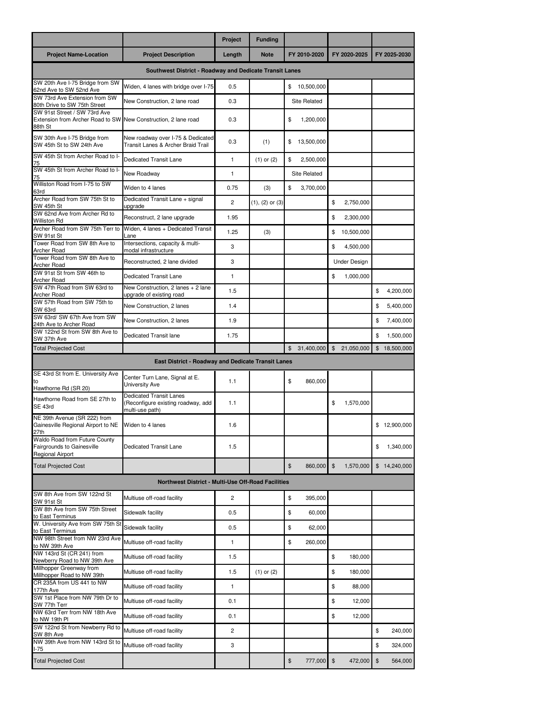|                                                                                                           |                                                                                         | Project        | <b>Funding</b>      |                            |                              |                           |  |  |  |
|-----------------------------------------------------------------------------------------------------------|-----------------------------------------------------------------------------------------|----------------|---------------------|----------------------------|------------------------------|---------------------------|--|--|--|
| <b>Project Name-Location</b>                                                                              | <b>Project Description</b>                                                              | Length         | <b>Note</b>         | FY 2010-2020               | FY 2020-2025                 | FY 2025-2030              |  |  |  |
| Southwest District - Roadway and Dedicate Transit Lanes                                                   |                                                                                         |                |                     |                            |                              |                           |  |  |  |
| SW 20th Ave I-75 Bridge from SW<br>62nd Ave to SW 52nd Ave                                                | Widen, 4 lanes with bridge over I-75                                                    | 0.5            |                     | 10,500,000<br>\$           |                              |                           |  |  |  |
| SW 73rd Ave Extension from SW<br>80th Drive to SW 75th Street                                             | New Construction, 2 lane road                                                           | 0.3            |                     | Site Related               |                              |                           |  |  |  |
| SW 91st Street / SW 73rd Ave<br>Extension from Archer Road to SW New Construction, 2 lane road<br>88th St |                                                                                         | 0.3            |                     | \$<br>1,200,000            |                              |                           |  |  |  |
| SW 30th Ave I-75 Bridge from<br>SW 45th St to SW 24th Ave                                                 | New roadway over I-75 & Dedicated<br>Transit Lanes & Archer Braid Trail                 | 0.3            | (1)                 | \$<br>13,500,000           |                              |                           |  |  |  |
| SW 45th St from Archer Road to I-<br>75                                                                   | Dedicated Transit Lane                                                                  | $\mathbf{1}$   | $(1)$ or $(2)$      | \$<br>2,500,000            |                              |                           |  |  |  |
| SW 45th St from Archer Road to I-<br>75                                                                   | New Roadway                                                                             | $\mathbf{1}$   |                     | Site Related               |                              |                           |  |  |  |
| Williston Road from I-75 to SW<br>63rd                                                                    | Widen to 4 lanes                                                                        | 0.75           | (3)                 | \$<br>3,700,000            |                              |                           |  |  |  |
| Archer Road from SW 75th St to<br>SW 45th St                                                              | Dedicated Transit Lane + signal<br>upgrade                                              | $\overline{c}$ | $(1), (2)$ or $(3)$ |                            | \$<br>2,750,000              |                           |  |  |  |
| SW 62nd Ave from Archer Rd to<br><b>Williston Rd</b>                                                      | Reconstruct, 2 lane upgrade                                                             | 1.95           |                     |                            | \$<br>2,300,000              |                           |  |  |  |
| Archer Road from SW 75th Terr to<br>SW 91st St                                                            | Widen, 4 lanes + Dedicated Transit<br>Lane                                              | 1.25           | (3)                 |                            | \$<br>10,500,000             |                           |  |  |  |
| Tower Road from SW 8th Ave to<br><b>Archer Road</b>                                                       | Intersections, capacity & multi-<br>modal infrastructure                                | 3              |                     |                            | \$<br>4,500,000              |                           |  |  |  |
| Tower Road from SW 8th Ave to<br><b>Archer Road</b>                                                       | Reconstructed, 2 lane divided                                                           | 3              |                     |                            | Under Design                 |                           |  |  |  |
| SW 91st St from SW 46th to<br><b>Archer Road</b>                                                          | Dedicated Transit Lane                                                                  | $\mathbf{1}$   |                     |                            | \$<br>1,000,000              |                           |  |  |  |
| SW 47th Road from SW 63rd to<br>Archer Road                                                               | New Construction, 2 lanes + 2 lane<br>upgrade of existing road                          | 1.5            |                     |                            |                              | \$<br>4,200,000           |  |  |  |
| SW 57th Road from SW 75th to<br>SW 63rd                                                                   | New Construction, 2 lanes                                                               | 1.4            |                     |                            |                              | 5,400,000<br>\$           |  |  |  |
| SW 63rd/ SW 67th Ave from SW<br>24th Ave to Archer Road                                                   | New Construction, 2 lanes                                                               | 1.9            |                     |                            |                              | \$<br>7,400,000           |  |  |  |
| SW 122nd St from SW 8th Ave to<br>SW 37th Ave                                                             | Dedicated Transit lane                                                                  | 1.75           |                     |                            |                              | 1,500,000<br>\$           |  |  |  |
| <b>Total Projected Cost</b>                                                                               |                                                                                         |                |                     | $\mathbb{S}$<br>31,400,000 | $\mathfrak{S}$<br>21,050,000 | $\$\$<br>18,500,000       |  |  |  |
|                                                                                                           | East District - Roadway and Dedicate Transit Lanes                                      |                |                     |                            |                              |                           |  |  |  |
| SE 43rd St from E. University Ave<br>to<br>Hawthorne Rd (SR 20)                                           | Center Turn Lane, Signal at E.<br>University Ave                                        | 1.1            |                     | \$<br>860,000              |                              |                           |  |  |  |
| Hawthorne Road from SE 27th to<br>SE 43rd                                                                 | <b>Dedicated Transit Lanes</b><br>(Reconfigure existing roadway, add<br>multi-use path) | 1.1            |                     |                            | \$<br>1,570,000              |                           |  |  |  |
| NE 39th Avenue (SR 222) from<br>Gainesville Regional Airport to NE<br>27th                                | Widen to 4 lanes                                                                        | 1.6            |                     |                            |                              | \$12,900,000              |  |  |  |
| Waldo Road from Future County<br><b>Fairgrounds to Gainesville</b><br><b>Regional Airport</b>             | <b>Dedicated Transit Lane</b>                                                           | 1.5            |                     |                            |                              | 1,340,000<br>\$           |  |  |  |
| <b>Total Projected Cost</b>                                                                               |                                                                                         |                |                     | \$<br>860,000 \$           | 1,570,000                    | \$14,240,000              |  |  |  |
| Northwest District - Multi-Use Off-Road Facilities                                                        |                                                                                         |                |                     |                            |                              |                           |  |  |  |
| SW 8th Ave from SW 122nd St<br>SW 91st St                                                                 | Multiuse off-road facility                                                              | 2              |                     | \$<br>395,000              |                              |                           |  |  |  |
| SW 8th Ave from SW 75th Street<br>to East Terminus                                                        | Sidewalk facility                                                                       | 0.5            |                     | \$<br>60,000               |                              |                           |  |  |  |
| W. University Ave from SW 75th St<br>to East Terminus                                                     | Sidewalk facility                                                                       | 0.5            |                     | \$<br>62,000               |                              |                           |  |  |  |
| NW 98th Street from NW 23rd Ave<br>to NW 39th Ave                                                         | Multiuse off-road facility                                                              | 1              |                     | \$<br>260,000              |                              |                           |  |  |  |
| NW 143rd St (CR 241) from<br>Newberry Road to NW 39th Ave                                                 | Multiuse off-road facility                                                              | 1.5            |                     |                            | \$<br>180,000                |                           |  |  |  |
| Millhopper Greenway from<br>Millhopper Road to NW 39th                                                    | Multiuse off-road facility                                                              | 1.5            | $(1)$ or $(2)$      |                            | \$<br>180,000                |                           |  |  |  |
| CR 235A from US 441 to NW<br>177th Ave                                                                    | Multiuse off-road facility                                                              | 1              |                     |                            | \$<br>88,000                 |                           |  |  |  |
| SW 1st Place from NW 79th Dr to                                                                           | Multiuse off-road facility                                                              | 0.1            |                     |                            | \$<br>12,000                 |                           |  |  |  |
| SW 77th Terr<br>NW 63rd Terr from NW 18th Ave                                                             | Multiuse off-road facility                                                              | 0.1            |                     |                            | \$<br>12,000                 |                           |  |  |  |
| to NW 19th PI<br>SW 122nd St from Newberry Rd to                                                          | Multiuse off-road facility                                                              | 2              |                     |                            |                              | \$<br>240,000             |  |  |  |
| SW 8th Ave<br>NW 39th Ave from NW 143rd St to                                                             | Multiuse off-road facility                                                              | 3              |                     |                            |                              | 324,000<br>\$             |  |  |  |
| I-75<br><b>Total Projected Cost</b>                                                                       |                                                                                         |                |                     | $\$\$<br>777,000           | \$<br>472,000                | $\mathfrak{S}$<br>564,000 |  |  |  |